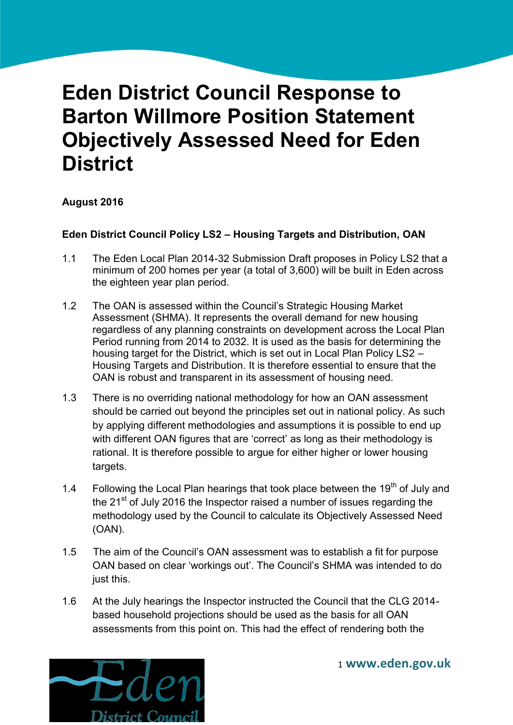# **Eden District Council Response to Barton Willmore Position Statement Objectively Assessed Need for Eden District**

## **August 2016**

## **Eden District Council Policy LS2 – Housing Targets and Distribution, OAN**

- 1.1 The Eden Local Plan 2014-32 Submission Draft proposes in Policy LS2 that a minimum of 200 homes per year (a total of 3,600) will be built in Eden across the eighteen year plan period.
- 1.2 The OAN is assessed within the Council's Strategic Housing Market Assessment (SHMA). It represents the overall demand for new housing regardless of any planning constraints on development across the Local Plan Period running from 2014 to 2032. It is used as the basis for determining the housing target for the District, which is set out in Local Plan Policy LS2 – Housing Targets and Distribution. It is therefore essential to ensure that the OAN is robust and transparent in its assessment of housing need.
- 1.3 There is no overriding national methodology for how an OAN assessment should be carried out beyond the principles set out in national policy. As such by applying different methodologies and assumptions it is possible to end up with different OAN figures that are 'correct' as long as their methodology is rational. It is therefore possible to argue for either higher or lower housing targets.
- 1.4 Following the Local Plan hearings that took place between the 19<sup>th</sup> of July and the  $21<sup>st</sup>$  of July 2016 the Inspector raised a number of issues regarding the methodology used by the Council to calculate its Objectively Assessed Need (OAN).
- 1.5 The aim of the Council's OAN assessment was to establish a fit for purpose OAN based on clear 'workings out'. The Council's SHMA was intended to do just this.
- 1.6 At the July hearings the Inspector instructed the Council that the CLG 2014 based household projections should be used as the basis for all OAN assessments from this point on. This had the effect of rendering both the

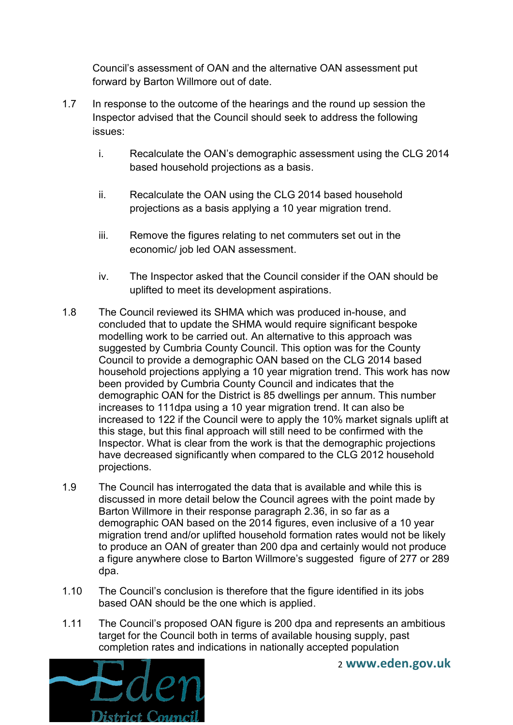Council's assessment of OAN and the alternative OAN assessment put forward by Barton Willmore out of date.

- 1.7 In response to the outcome of the hearings and the round up session the Inspector advised that the Council should seek to address the following issues:
	- i. Recalculate the OAN's demographic assessment using the CLG 2014 based household projections as a basis.
	- ii. Recalculate the OAN using the CLG 2014 based household projections as a basis applying a 10 year migration trend.
	- iii. Remove the figures relating to net commuters set out in the economic/ job led OAN assessment.
	- iv. The Inspector asked that the Council consider if the OAN should be uplifted to meet its development aspirations.
- 1.8 The Council reviewed its SHMA which was produced in-house, and concluded that to update the SHMA would require significant bespoke modelling work to be carried out. An alternative to this approach was suggested by Cumbria County Council. This option was for the County Council to provide a demographic OAN based on the CLG 2014 based household projections applying a 10 year migration trend. This work has now been provided by Cumbria County Council and indicates that the demographic OAN for the District is 85 dwellings per annum. This number increases to 111dpa using a 10 year migration trend. It can also be increased to 122 if the Council were to apply the 10% market signals uplift at this stage, but this final approach will still need to be confirmed with the Inspector. What is clear from the work is that the demographic projections have decreased significantly when compared to the CLG 2012 household projections.
- 1.9 The Council has interrogated the data that is available and while this is discussed in more detail below the Council agrees with the point made by Barton Willmore in their response paragraph 2.36, in so far as a demographic OAN based on the 2014 figures, even inclusive of a 10 year migration trend and/or uplifted household formation rates would not be likely to produce an OAN of greater than 200 dpa and certainly would not produce a figure anywhere close to Barton Willmore's suggested figure of 277 or 289 dpa.
- 1.10 The Council's conclusion is therefore that the figure identified in its jobs based OAN should be the one which is applied.
- 1.11 The Council's proposed OAN figure is 200 dpa and represents an ambitious target for the Council both in terms of available housing supply, past completion rates and indications in nationally accepted population

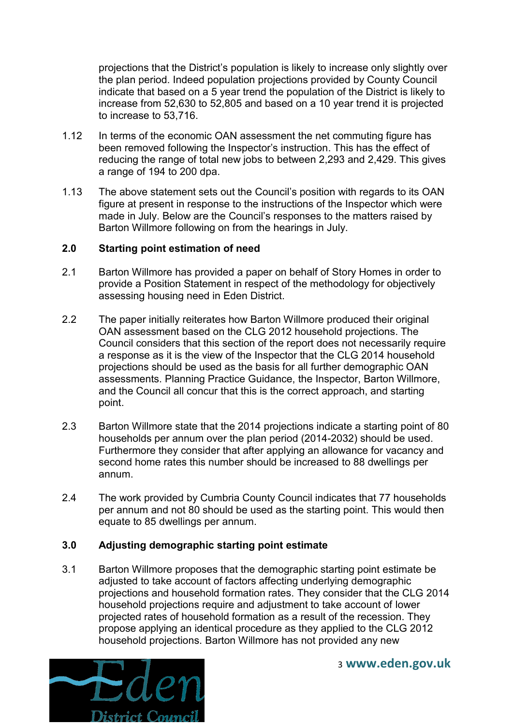projections that the District's population is likely to increase only slightly over the plan period. Indeed population projections provided by County Council indicate that based on a 5 year trend the population of the District is likely to increase from 52,630 to 52,805 and based on a 10 year trend it is projected to increase to 53,716.

- 1.12 In terms of the economic OAN assessment the net commuting figure has been removed following the Inspector's instruction. This has the effect of reducing the range of total new jobs to between 2,293 and 2,429. This gives a range of 194 to 200 dpa.
- 1.13 The above statement sets out the Council's position with regards to its OAN figure at present in response to the instructions of the Inspector which were made in July. Below are the Council's responses to the matters raised by Barton Willmore following on from the hearings in July.

#### **2.0 Starting point estimation of need**

- 2.1 Barton Willmore has provided a paper on behalf of Story Homes in order to provide a Position Statement in respect of the methodology for objectively assessing housing need in Eden District.
- 2.2 The paper initially reiterates how Barton Willmore produced their original OAN assessment based on the CLG 2012 household projections. The Council considers that this section of the report does not necessarily require a response as it is the view of the Inspector that the CLG 2014 household projections should be used as the basis for all further demographic OAN assessments. Planning Practice Guidance, the Inspector, Barton Willmore, and the Council all concur that this is the correct approach, and starting point.
- 2.3 Barton Willmore state that the 2014 projections indicate a starting point of 80 households per annum over the plan period (2014-2032) should be used. Furthermore they consider that after applying an allowance for vacancy and second home rates this number should be increased to 88 dwellings per annum.
- 2.4 The work provided by Cumbria County Council indicates that 77 households per annum and not 80 should be used as the starting point. This would then equate to 85 dwellings per annum.

## **3.0 Adjusting demographic starting point estimate**

3.1 Barton Willmore proposes that the demographic starting point estimate be adjusted to take account of factors affecting underlying demographic projections and household formation rates. They consider that the CLG 2014 household projections require and adjustment to take account of lower projected rates of household formation as a result of the recession. They propose applying an identical procedure as they applied to the CLG 2012 household projections. Barton Willmore has not provided any new

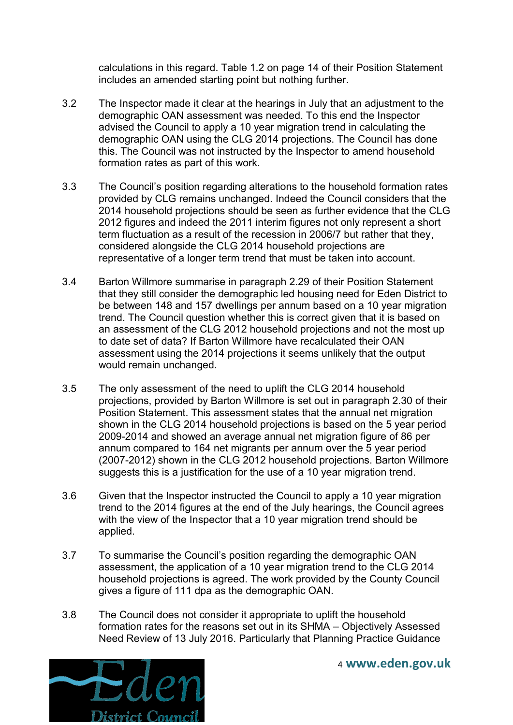calculations in this regard. Table 1.2 on page 14 of their Position Statement includes an amended starting point but nothing further.

- 3.2 The Inspector made it clear at the hearings in July that an adjustment to the demographic OAN assessment was needed. To this end the Inspector advised the Council to apply a 10 year migration trend in calculating the demographic OAN using the CLG 2014 projections. The Council has done this. The Council was not instructed by the Inspector to amend household formation rates as part of this work.
- 3.3 The Council's position regarding alterations to the household formation rates provided by CLG remains unchanged. Indeed the Council considers that the 2014 household projections should be seen as further evidence that the CLG 2012 figures and indeed the 2011 interim figures not only represent a short term fluctuation as a result of the recession in 2006/7 but rather that they, considered alongside the CLG 2014 household projections are representative of a longer term trend that must be taken into account.
- 3.4 Barton Willmore summarise in paragraph 2.29 of their Position Statement that they still consider the demographic led housing need for Eden District to be between 148 and 157 dwellings per annum based on a 10 year migration trend. The Council question whether this is correct given that it is based on an assessment of the CLG 2012 household projections and not the most up to date set of data? If Barton Willmore have recalculated their OAN assessment using the 2014 projections it seems unlikely that the output would remain unchanged.
- 3.5 The only assessment of the need to uplift the CLG 2014 household projections, provided by Barton Willmore is set out in paragraph 2.30 of their Position Statement. This assessment states that the annual net migration shown in the CLG 2014 household projections is based on the 5 year period 2009-2014 and showed an average annual net migration figure of 86 per annum compared to 164 net migrants per annum over the 5 year period (2007-2012) shown in the CLG 2012 household projections. Barton Willmore suggests this is a justification for the use of a 10 year migration trend.
- 3.6 Given that the Inspector instructed the Council to apply a 10 year migration trend to the 2014 figures at the end of the July hearings, the Council agrees with the view of the Inspector that a 10 year migration trend should be applied.
- 3.7 To summarise the Council's position regarding the demographic OAN assessment, the application of a 10 year migration trend to the CLG 2014 household projections is agreed. The work provided by the County Council gives a figure of 111 dpa as the demographic OAN.
- 3.8 The Council does not consider it appropriate to uplift the household formation rates for the reasons set out in its SHMA – Objectively Assessed Need Review of 13 July 2016. Particularly that Planning Practice Guidance

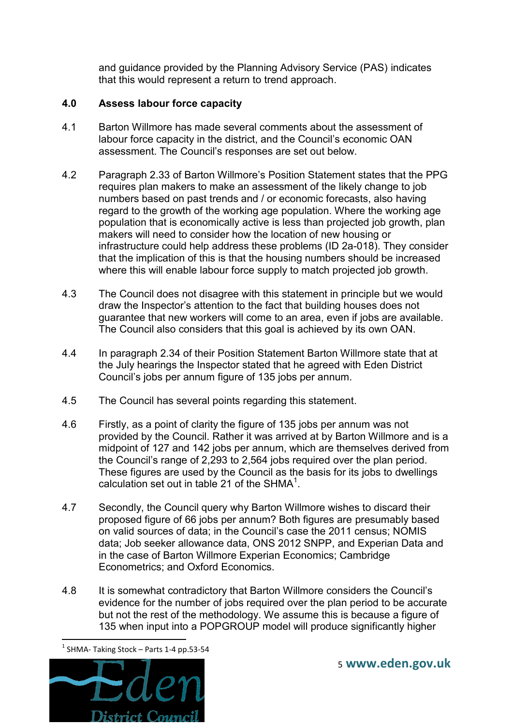and guidance provided by the Planning Advisory Service (PAS) indicates that this would represent a return to trend approach.

## **4.0 Assess labour force capacity**

- 4.1 Barton Willmore has made several comments about the assessment of labour force capacity in the district, and the Council's economic OAN assessment. The Council's responses are set out below.
- 4.2 Paragraph 2.33 of Barton Willmore's Position Statement states that the PPG requires plan makers to make an assessment of the likely change to job numbers based on past trends and / or economic forecasts, also having regard to the growth of the working age population. Where the working age population that is economically active is less than projected job growth, plan makers will need to consider how the location of new housing or infrastructure could help address these problems (ID 2a-018). They consider that the implication of this is that the housing numbers should be increased where this will enable labour force supply to match projected job growth.
- 4.3 The Council does not disagree with this statement in principle but we would draw the Inspector's attention to the fact that building houses does not guarantee that new workers will come to an area, even if jobs are available. The Council also considers that this goal is achieved by its own OAN.
- 4.4 In paragraph 2.34 of their Position Statement Barton Willmore state that at the July hearings the Inspector stated that he agreed with Eden District Council's jobs per annum figure of 135 jobs per annum.
- 4.5 The Council has several points regarding this statement.
- 4.6 Firstly, as a point of clarity the figure of 135 jobs per annum was not provided by the Council. Rather it was arrived at by Barton Willmore and is a midpoint of 127 and 142 jobs per annum, which are themselves derived from the Council's range of 2,293 to 2,564 jobs required over the plan period. These figures are used by the Council as the basis for its jobs to dwellings calculation set out in table 21 of the SHMA $<sup>1</sup>$ .</sup>
- 4.7 Secondly, the Council query why Barton Willmore wishes to discard their proposed figure of 66 jobs per annum? Both figures are presumably based on valid sources of data; in the Council's case the 2011 census; NOMIS data; Job seeker allowance data, ONS 2012 SNPP, and Experian Data and in the case of Barton Willmore Experian Economics; Cambridge Econometrics; and Oxford Economics.
- 4.8 It is somewhat contradictory that Barton Willmore considers the Council's evidence for the number of jobs required over the plan period to be accurate but not the rest of the methodology. We assume this is because a figure of 135 when input into a POPGROUP model will produce significantly higher

 $<sup>1</sup>$  SHMA- Taking Stock – Parts 1-4 pp.53-54</sup>



**.**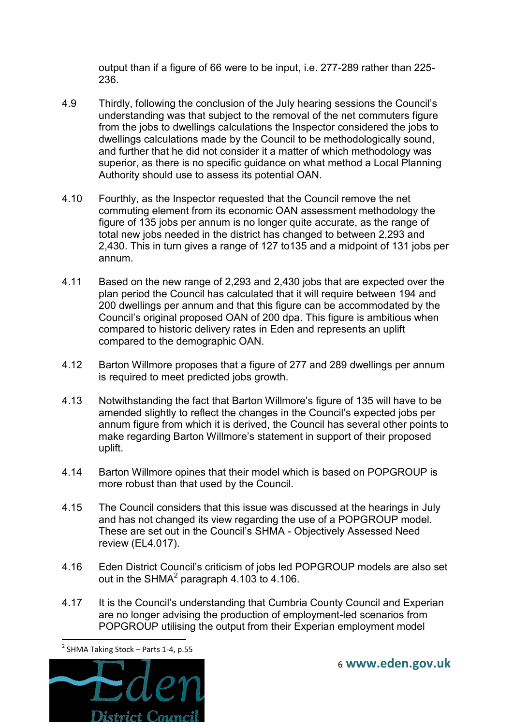output than if a figure of 66 were to be input, i.e. 277-289 rather than 225- 236.

- 4.9 Thirdly, following the conclusion of the July hearing sessions the Council's understanding was that subject to the removal of the net commuters figure from the jobs to dwellings calculations the Inspector considered the jobs to dwellings calculations made by the Council to be methodologically sound, and further that he did not consider it a matter of which methodology was superior, as there is no specific guidance on what method a Local Planning Authority should use to assess its potential OAN.
- 4.10 Fourthly, as the Inspector requested that the Council remove the net commuting element from its economic OAN assessment methodology the figure of 135 jobs per annum is no longer quite accurate, as the range of total new jobs needed in the district has changed to between 2,293 and 2,430. This in turn gives a range of 127 to135 and a midpoint of 131 jobs per annum.
- 4.11 Based on the new range of 2,293 and 2,430 jobs that are expected over the plan period the Council has calculated that it will require between 194 and 200 dwellings per annum and that this figure can be accommodated by the Council's original proposed OAN of 200 dpa. This figure is ambitious when compared to historic delivery rates in Eden and represents an uplift compared to the demographic OAN.
- 4.12 Barton Willmore proposes that a figure of 277 and 289 dwellings per annum is required to meet predicted jobs growth.
- 4.13 Notwithstanding the fact that Barton Willmore's figure of 135 will have to be amended slightly to reflect the changes in the Council's expected jobs per annum figure from which it is derived, the Council has several other points to make regarding Barton Willmore's statement in support of their proposed uplift.
- 4.14 Barton Willmore opines that their model which is based on POPGROUP is more robust than that used by the Council.
- 4.15 The Council considers that this issue was discussed at the hearings in July and has not changed its view regarding the use of a POPGROUP model. These are set out in the Council's SHMA - Objectively Assessed Need review (EL4.017).
- 4.16 Eden District Council's criticism of jobs led POPGROUP models are also set out in the SHMA $^2$  paragraph 4.103 to 4.106.
- 4.17 It is the Council's understanding that Cumbria County Council and Experian are no longer advising the production of employment-led scenarios from POPGROUP utilising the output from their Experian employment model

**.** 



 $2$  SHMA Taking Stock – Parts 1-4, p.55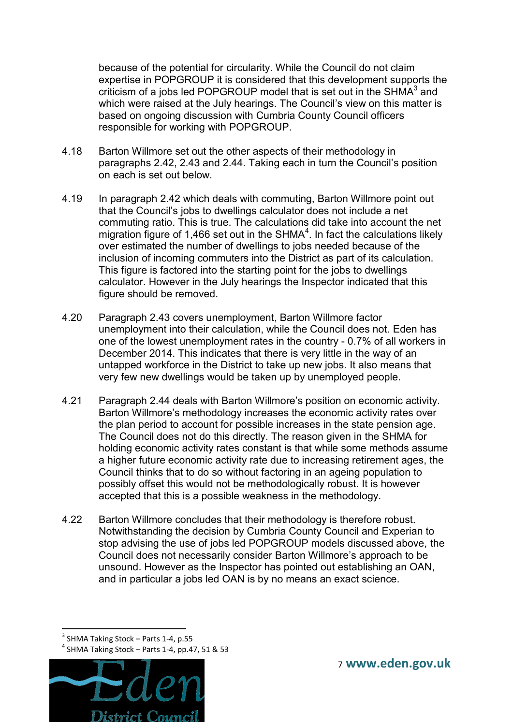because of the potential for circularity. While the Council do not claim expertise in POPGROUP it is considered that this development supports the criticism of a jobs led POPGROUP model that is set out in the SHMA $3$  and which were raised at the July hearings. The Council's view on this matter is based on ongoing discussion with Cumbria County Council officers responsible for working with POPGROUP.

- 4.18 Barton Willmore set out the other aspects of their methodology in paragraphs 2.42, 2.43 and 2.44. Taking each in turn the Council's position on each is set out below.
- 4.19 In paragraph 2.42 which deals with commuting, Barton Willmore point out that the Council's jobs to dwellings calculator does not include a net commuting ratio. This is true. The calculations did take into account the net migration figure of 1,466 set out in the SHMA $4$ . In fact the calculations likely over estimated the number of dwellings to jobs needed because of the inclusion of incoming commuters into the District as part of its calculation. This figure is factored into the starting point for the jobs to dwellings calculator. However in the July hearings the Inspector indicated that this figure should be removed.
- 4.20 Paragraph 2.43 covers unemployment, Barton Willmore factor unemployment into their calculation, while the Council does not. Eden has one of the lowest unemployment rates in the country - 0.7% of all workers in December 2014. This indicates that there is very little in the way of an untapped workforce in the District to take up new jobs. It also means that very few new dwellings would be taken up by unemployed people.
- 4.21 Paragraph 2.44 deals with Barton Willmore's position on economic activity. Barton Willmore's methodology increases the economic activity rates over the plan period to account for possible increases in the state pension age. The Council does not do this directly. The reason given in the SHMA for holding economic activity rates constant is that while some methods assume a higher future economic activity rate due to increasing retirement ages, the Council thinks that to do so without factoring in an ageing population to possibly offset this would not be methodologically robust. It is however accepted that this is a possible weakness in the methodology.
- 4.22 Barton Willmore concludes that their methodology is therefore robust. Notwithstanding the decision by Cumbria County Council and Experian to stop advising the use of jobs led POPGROUP models discussed above, the Council does not necessarily consider Barton Willmore's approach to be unsound. However as the Inspector has pointed out establishing an OAN, and in particular a jobs led OAN is by no means an exact science.

1 <sup>3</sup> SHMA Taking Stock - Parts 1-4, p.55

 $<sup>4</sup>$  SHMA Taking Stock – Parts 1-4, pp.47, 51 & 53</sup>

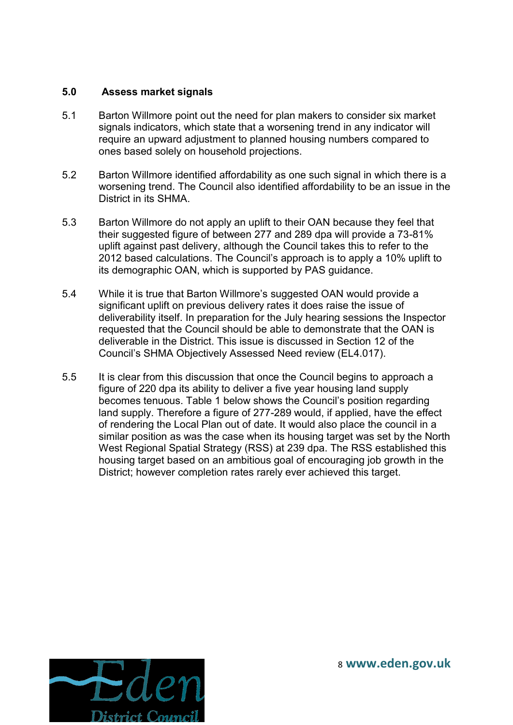### **5.0 Assess market signals**

- 5.1 Barton Willmore point out the need for plan makers to consider six market signals indicators, which state that a worsening trend in any indicator will require an upward adjustment to planned housing numbers compared to ones based solely on household projections.
- 5.2 Barton Willmore identified affordability as one such signal in which there is a worsening trend. The Council also identified affordability to be an issue in the District in its SHMA.
- 5.3 Barton Willmore do not apply an uplift to their OAN because they feel that their suggested figure of between 277 and 289 dpa will provide a 73-81% uplift against past delivery, although the Council takes this to refer to the 2012 based calculations. The Council's approach is to apply a 10% uplift to its demographic OAN, which is supported by PAS guidance.
- 5.4 While it is true that Barton Willmore's suggested OAN would provide a significant uplift on previous delivery rates it does raise the issue of deliverability itself. In preparation for the July hearing sessions the Inspector requested that the Council should be able to demonstrate that the OAN is deliverable in the District. This issue is discussed in Section 12 of the Council's SHMA Objectively Assessed Need review (EL4.017).
- 5.5 It is clear from this discussion that once the Council begins to approach a figure of 220 dpa its ability to deliver a five year housing land supply becomes tenuous. Table 1 below shows the Council's position regarding land supply. Therefore a figure of 277-289 would, if applied, have the effect of rendering the Local Plan out of date. It would also place the council in a similar position as was the case when its housing target was set by the North West Regional Spatial Strategy (RSS) at 239 dpa. The RSS established this housing target based on an ambitious goal of encouraging job growth in the District; however completion rates rarely ever achieved this target.

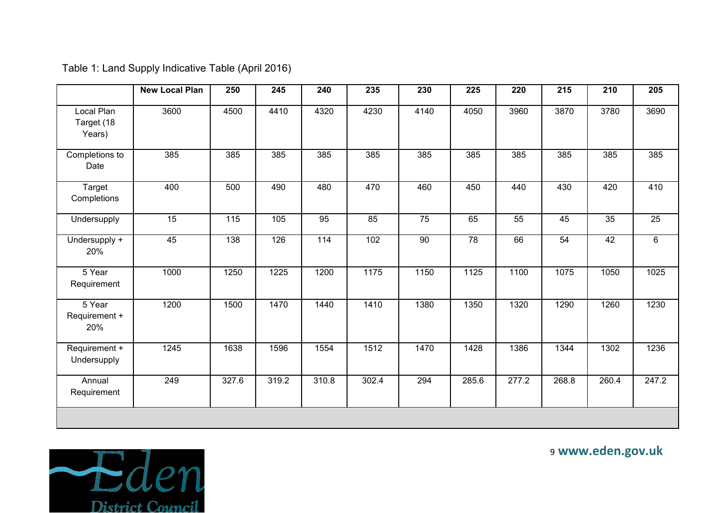|                                    | <b>New Local Plan</b> | 250   | 245   | 240               | 235   | 230             | 225   | 220   | 215             | 210             | 205            |
|------------------------------------|-----------------------|-------|-------|-------------------|-------|-----------------|-------|-------|-----------------|-----------------|----------------|
| Local Plan<br>Target (18<br>Years) | 3600                  | 4500  | 4410  | 4320              | 4230  | 4140            | 4050  | 3960  | 3870            | 3780            | 3690           |
| Completions to<br>Date             | 385                   | 385   | 385   | 385               | 385   | 385             | 385   | 385   | 385             | 385             | 385            |
| Target<br>Completions              | 400                   | 500   | 490   | 480               | 470   | 460             | 450   | 440   | 430             | 420             | 410            |
| Undersupply                        | $\overline{15}$       | 115   | 105   | 95                | 85    | 75              | 65    | 55    | 45              | $\overline{35}$ | 25             |
| Undersupply +<br>20%               | 45                    | 138   | 126   | $\frac{114}{114}$ | 102   | $\overline{90}$ | 78    | 66    | $\overline{54}$ | 42              | $6\phantom{1}$ |
| 5 Year<br>Requirement              | 1000                  | 1250  | 1225  | 1200              | 1175  | 1150            | 1125  | 1100  | 1075            | 1050            | 1025           |
| 5 Year<br>Requirement +<br>20%     | 1200                  | 1500  | 1470  | 1440              | 1410  | 1380            | 1350  | 1320  | 1290            | 1260            | 1230           |
| Requirement +<br>Undersupply       | 1245                  | 1638  | 1596  | 1554              | 1512  | 1470            | 1428  | 1386  | 1344            | 1302            | 1236           |
| Annual<br>Requirement              | 249                   | 327.6 | 319.2 | 310.8             | 302.4 | 294             | 285.6 | 277.2 | 268.8           | 260.4           | 247.2          |
|                                    |                       |       |       |                   |       |                 |       |       |                 |                 |                |

Table 1: Land Supply Indicative Table (April 2016)

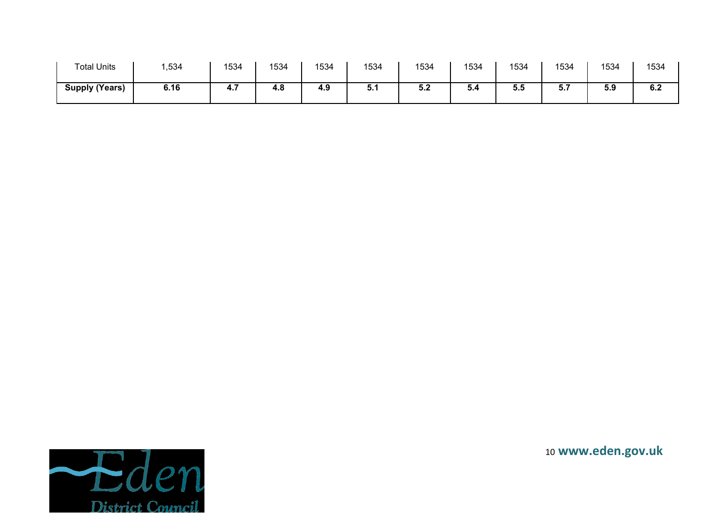| <b>Total Units</b>    | ,534 | 1534 | 1534 | 1534 | 1534 | 1534       | 1534 | 1534       | 1534 | 1534 | 1534             |
|-----------------------|------|------|------|------|------|------------|------|------------|------|------|------------------|
| <b>Supply (Years)</b> | 6.16 | 4. . | 4.8  | 4.9  | ə. I | r a<br>J.Z | 5.4  | - -<br>ວ.ວ | .    | 5.9  | <b>CO</b><br>0.Z |